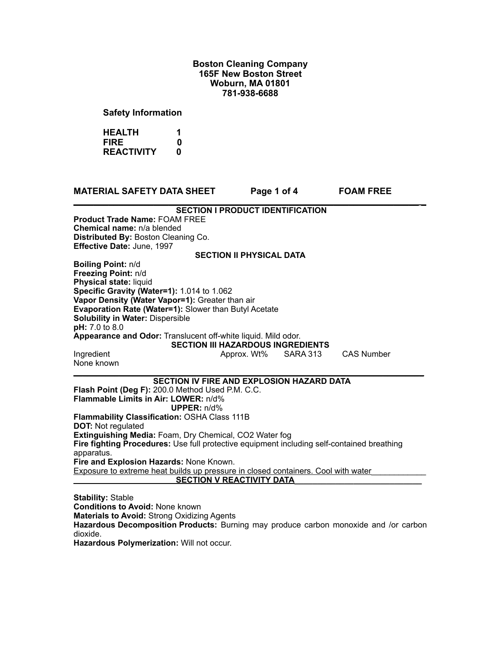## **Boston Cleaning Company 165F New Boston Street Woburn, MA 01801 781-938-6688**

**Safety Information**

**HEALTH 1 FIRE** 0<br>REACTIVITY 0 **REACTIVITY** 

| <b>MATERIAL SAFETY DATA SHEET</b>                                                                         | Page 1 of 4 |          | <b>FOAM FREE</b>  |  |
|-----------------------------------------------------------------------------------------------------------|-------------|----------|-------------------|--|
| <b>SECTION I PRODUCT IDENTIFICATION</b>                                                                   |             |          |                   |  |
| <b>Product Trade Name: FOAM FREE</b>                                                                      |             |          |                   |  |
| Chemical name: n/a blended                                                                                |             |          |                   |  |
| Distributed By: Boston Cleaning Co.                                                                       |             |          |                   |  |
| Effective Date: June, 1997                                                                                |             |          |                   |  |
| <b>SECTION II PHYSICAL DATA</b>                                                                           |             |          |                   |  |
| Boiling Point: n/d                                                                                        |             |          |                   |  |
| Freezing Point: n/d                                                                                       |             |          |                   |  |
| Physical state: liquid                                                                                    |             |          |                   |  |
| Specific Gravity (Water=1): 1.014 to 1.062                                                                |             |          |                   |  |
| Vapor Density (Water Vapor=1): Greater than air                                                           |             |          |                   |  |
| Evaporation Rate (Water=1): Slower than Butyl Acetate                                                     |             |          |                   |  |
| <b>Solubility in Water: Dispersible</b>                                                                   |             |          |                   |  |
| pH: 7.0 to 8.0                                                                                            |             |          |                   |  |
| Appearance and Odor: Translucent off-white liquid. Mild odor.<br><b>SECTION III HAZARDOUS INGREDIENTS</b> |             |          |                   |  |
|                                                                                                           |             | SARA 313 | <b>CAS Number</b> |  |
| Ingredient<br>None known                                                                                  | Approx. Wt% |          |                   |  |
|                                                                                                           |             |          |                   |  |
| <b>SECTION IV FIRE AND EXPLOSION HAZARD DATA</b>                                                          |             |          |                   |  |
| Flash Point (Deg F): 200.0 Method Used P.M. C.C.                                                          |             |          |                   |  |
| <b>Flammable Limits in Air: LOWER: n/d%</b>                                                               |             |          |                   |  |
| <b>UPPER:</b> $n/d\%$                                                                                     |             |          |                   |  |
| Flammability Classification: OSHA Class 111B                                                              |             |          |                   |  |
| <b>DOT: Not regulated</b>                                                                                 |             |          |                   |  |
| Extinguishing Media: Foam, Dry Chemical, CO2 Water fog                                                    |             |          |                   |  |
| Fire fighting Procedures: Use full protective equipment including self-contained breathing                |             |          |                   |  |
| apparatus.                                                                                                |             |          |                   |  |
| Fire and Explosion Hazards: None Known.                                                                   |             |          |                   |  |
| Exposure to extreme heat builds up pressure in closed containers. Cool with water                         |             |          |                   |  |
| <b>SECTION V REACTIVITY DATA</b>                                                                          |             |          |                   |  |
|                                                                                                           |             |          |                   |  |
| <b>Stability: Stable</b>                                                                                  |             |          |                   |  |
| <b>Conditions to Avoid: None known</b>                                                                    |             |          |                   |  |
| <b>Materials to Avoid: Strong Oxidizing Agents</b>                                                        |             |          |                   |  |

**Hazardous Decomposition Products:** Burning may produce carbon monoxide and /or carbon dioxide.

**Hazardous Polymerization:** Will not occur.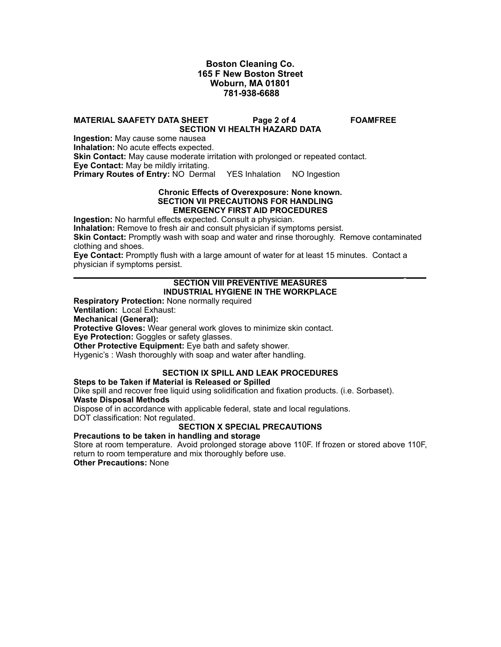## **Boston Cleaning Co. 165 F New Boston Street Woburn, MA 01801 781-938-6688**

### **MATERIAL SAAFETY DATA SHEET Page 2 of 4 FOAMFREE SECTION VI HEALTH HAZARD DATA**

**Ingestion:** May cause some nausea **Inhalation:** No acute effects expected. **Skin Contact:** May cause moderate irritation with prolonged or repeated contact. **Eye Contact:** May be mildly irritating. **Primary Routes of Entry: NO Dermal YES Inhalation NO Ingestion** 

#### **Chronic Effects of Overexposure: None known. SECTION VII PRECAUTIONS FOR HANDLING EMERGENCY FIRST AID PROCEDURES**

**Ingestion:** No harmful effects expected. Consult a physician.

**Inhalation:** Remove to fresh air and consult physician if symptoms persist.

**Skin Contact:** Promptly wash with soap and water and rinse thoroughly. Remove contaminated clothing and shoes.

**Eye Contact:** Promptly flush with a large amount of water for at least 15 minutes. Contact a physician if symptoms persist.

#### **\_\_\_\_\_\_\_\_\_\_\_\_\_\_\_\_\_\_\_\_\_\_\_\_\_\_\_\_\_\_\_\_\_\_\_\_\_\_\_\_\_\_\_\_\_\_\_\_\_\_\_\_\_\_\_\_\_\_\_\_\_\_\_\_\_\_ \_\_\_\_ SECTION VIII PREVENTIVE MEASURES INDUSTRIAL HYGIENE IN THE WORKPLACE**

**Respiratory Protection:** None normally required

**Ventilation:** Local Exhaust:

**Mechanical (General):**

**Protective Gloves:** Wear general work gloves to minimize skin contact.

**Eye Protection:** Goggles or safety glasses.

**Other Protective Equipment:** Eye bath and safety shower.

Hygenic's : Wash thoroughly with soap and water after handling.

### **SECTION IX SPILL AND LEAK PROCEDURES**

### **Steps to be Taken if Material is Released or Spilled**

Dike spill and recover free liquid using solidification and fixation products. (i.e. Sorbaset).

# **Waste Disposal Methods**

Dispose of in accordance with applicable federal, state and local regulations.

DOT classification: Not regulated.

## **SECTION X SPECIAL PRECAUTIONS**

### **Precautions to be taken in handling and storage**

Store at room temperature. Avoid prolonged storage above 110F. If frozen or stored above 110F, return to room temperature and mix thoroughly before use.

**Other Precautions:** None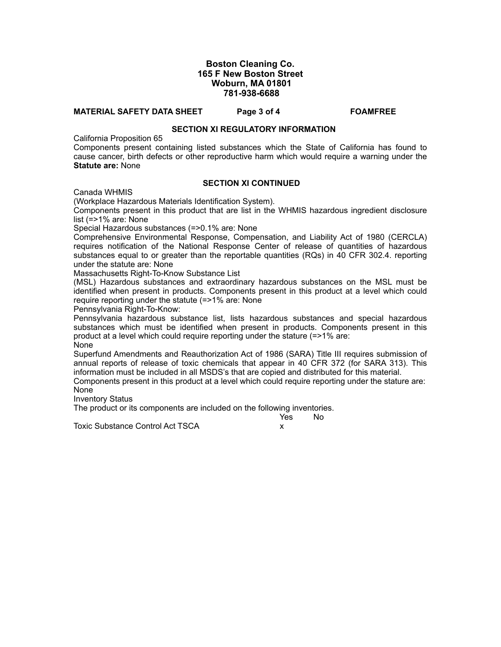### **Boston Cleaning Co. 165 F New Boston Street Woburn, MA 01801 781-938-6688**

#### **MATERIAL SAFETY DATA SHEET Page 3 of 4 FOAMFREE**

#### **SECTION XI REGULATORY INFORMATION**

California Proposition 65

Components present containing listed substances which the State of California has found to cause cancer, birth defects or other reproductive harm which would require a warning under the **Statute are:** None

#### **SECTION XI CONTINUED**

Canada WHMIS

(Workplace Hazardous Materials Identification System).

Components present in this product that are list in the WHMIS hazardous ingredient disclosure list (=>1% are: None

Special Hazardous substances (=>0.1% are: None

Comprehensive Environmental Response, Compensation, and Liability Act of 1980 (CERCLA) requires notification of the National Response Center of release of quantities of hazardous substances equal to or greater than the reportable quantities (RQs) in 40 CFR 302.4. reporting under the statute are: None

Massachusetts Right-To-Know Substance List

(MSL) Hazardous substances and extraordinary hazardous substances on the MSL must be identified when present in products. Components present in this product at a level which could require reporting under the statute (=>1% are: None

Pennsylvania Right-To-Know:

Pennsylvania hazardous substance list, lists hazardous substances and special hazardous substances which must be identified when present in products. Components present in this product at a level which could require reporting under the stature (=>1% are: **None** 

Superfund Amendments and Reauthorization Act of 1986 (SARA) Title III requires submission of annual reports of release of toxic chemicals that appear in 40 CFR 372 (for SARA 313). This information must be included in all MSDS's that are copied and distributed for this material.

Components present in this product at a level which could require reporting under the stature are: None

Inventory Status

The product or its components are included on the following inventories.<br>Yes Mo

Toxic Substance Control Act TSCA X

in the contract of the contract of the Northern State of the Northern State of the Northern State of the Northern State of the Northern State of the Northern State of the Northern State of the Northern State of the Norther